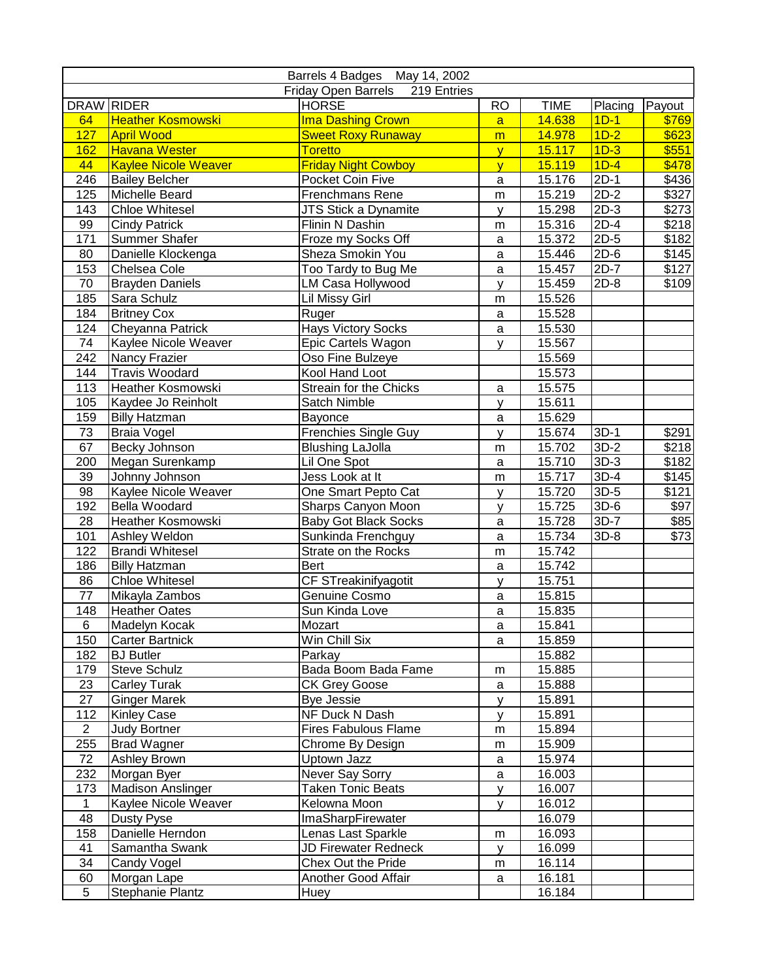|                 |                             | Barrels 4 Badges May 14, 2002   |                |             |         |                   |
|-----------------|-----------------------------|---------------------------------|----------------|-------------|---------|-------------------|
|                 |                             | Friday Open Barrels 219 Entries |                |             |         |                   |
| DRAW RIDER      |                             | <b>HORSE</b>                    | <b>RO</b>      | <b>TIME</b> | Placing | Payout            |
| 64              | <b>Heather Kosmowski</b>    | <b>Ima Dashing Crown</b>        | a              | 14.638      | $1D-1$  | \$769             |
| 127             | <b>April Wood</b>           | <b>Sweet Roxy Runaway</b>       | m              | 14.978      | $1D-2$  | \$623             |
| 162             | <b>Havana Wester</b>        | <b>Toretto</b>                  | $\mathbf{y}$   | 15.117      | $1D-3$  | \$551             |
| 44              | <b>Kaylee Nicole Weaver</b> | <b>Friday Night Cowboy</b>      | $\overline{V}$ | 15.119      | $1D-4$  | \$478             |
| 246             | <b>Bailey Belcher</b>       | Pocket Coin Five                | a              | 15.176      | $2D-1$  | \$436             |
| 125             | Michelle Beard              | Frenchmans Rene                 | m              | 15.219      | $2D-2$  | \$327             |
| 143             | <b>Chloe Whitesel</b>       | JTS Stick a Dynamite            | y              | 15.298      | $2D-3$  | \$273             |
| 99              | <b>Cindy Patrick</b>        | Flinin N Dashin                 | m              | 15.316      | $2D-4$  | \$218             |
| 171             | Summer Shafer               | Froze my Socks Off              | a              | 15.372      | $2D-5$  | \$182             |
| 80              | Danielle Klockenga          | Sheza Smokin You                | a              | 15.446      | $2D-6$  | $\overline{$145}$ |
| 153             | Chelsea Cole                | Too Tardy to Bug Me             | $\mathsf a$    | 15.457      | $2D-7$  | \$127             |
| 70              | <b>Brayden Daniels</b>      | LM Casa Hollywood               | y              | 15.459      | $2D-8$  | \$109             |
| 185             | Sara Schulz                 | <b>Lil Missy Girl</b>           | m              | 15.526      |         |                   |
| 184             | <b>Britney Cox</b>          | Ruger                           | a              | 15.528      |         |                   |
| 124             | Cheyanna Patrick            | <b>Hays Victory Socks</b>       | $\mathsf a$    | 15.530      |         |                   |
| 74              | Kaylee Nicole Weaver        | Epic Cartels Wagon              | y              | 15.567      |         |                   |
| 242             | Nancy Frazier               | Oso Fine Bulzeye                |                | 15.569      |         |                   |
| 144             | <b>Travis Woodard</b>       | Kool Hand Loot                  |                | 15.573      |         |                   |
| 113             | Heather Kosmowski           | Streain for the Chicks          | a              | 15.575      |         |                   |
| 105             | Kaydee Jo Reinholt          | Satch Nimble                    | y              | 15.611      |         |                   |
| 159             | <b>Billy Hatzman</b>        | Bayonce                         | a              | 15.629      |         |                   |
| 73              | <b>Braia Vogel</b>          | <b>Frenchies Single Guy</b>     | y              | 15.674      | $3D-1$  | \$291             |
| 67              | Becky Johnson               | <b>Blushing LaJolla</b>         | m              | 15.702      | $3D-2$  | \$218             |
| 200             | Megan Surenkamp             | Lil One Spot                    | a              | 15.710      | $3D-3$  | \$182             |
| 39              | Johnny Johnson              | Jess Look at It                 | m              | 15.717      | $3D-4$  | $\overline{$145}$ |
| 98              | Kaylee Nicole Weaver        | One Smart Pepto Cat             | y              | 15.720      | $3D-5$  | \$121             |
| 192             | Bella Woodard               | Sharps Canyon Moon              | У              | 15.725      | $3D-6$  | \$97              |
| 28              | Heather Kosmowski           | <b>Baby Got Black Socks</b>     | a              | 15.728      | $3D-7$  | \$85              |
| 101             | Ashley Weldon               | Sunkinda Frenchguy              | a              | 15.734      | 3D-8    | \$73              |
| 122             | <b>Brandi Whitesel</b>      | Strate on the Rocks             | m              | 15.742      |         |                   |
| 186             | <b>Billy Hatzman</b>        | Bert                            | a              | 15.742      |         |                   |
| 86              | <b>Chloe Whitesel</b>       | CF STreakinifyagotit            | y              | 15.751      |         |                   |
| $\overline{77}$ | Mikayla Zambos              | Genuine Cosmo                   | a              | 15.815      |         |                   |
| 148             | <b>Heather Oates</b>        | Sun Kinda Love                  | a              | 15.835      |         |                   |
| $\overline{6}$  | Madelyn Kocak               | Mozart                          | a              | 15.841      |         |                   |
| 150             | <b>Carter Bartnick</b>      | Win Chill Six                   | a              | 15.859      |         |                   |
| 182             | <b>BJ</b> Butler            | Parkay                          |                | 15.882      |         |                   |
| 179             | <b>Steve Schulz</b>         | Bada Boom Bada Fame             | m              | 15.885      |         |                   |
| 23              | Carley Turak                | <b>CK Grey Goose</b>            | a              | 15.888      |         |                   |
| 27              | <b>Ginger Marek</b>         | Bye Jessie                      | y              | 15.891      |         |                   |
| 112             | <b>Kinley Case</b>          | NF Duck N Dash                  | V              | 15.891      |         |                   |
| $\overline{2}$  | <b>Judy Bortner</b>         | Fires Fabulous Flame            | m              | 15.894      |         |                   |
| 255             | <b>Brad Wagner</b>          | Chrome By Design                | m              | 15.909      |         |                   |
| 72              | Ashley Brown                | Uptown Jazz                     | a              | 15.974      |         |                   |
| 232             | Morgan Byer                 | Never Say Sorry                 | a              | 16.003      |         |                   |
| 173             | <b>Madison Anslinger</b>    | <b>Taken Tonic Beats</b>        | y              | 16.007      |         |                   |
| $\mathbf{1}$    | Kaylee Nicole Weaver        | Kelowna Moon                    | V              | 16.012      |         |                   |
| 48              | Dusty Pyse                  | ImaSharpFirewater               |                | 16.079      |         |                   |
| 158             | Danielle Herndon            | Lenas Last Sparkle              | m              | 16.093      |         |                   |
| 41              | Samantha Swank              | JD Firewater Redneck            | y              | 16.099      |         |                   |
| 34              | Candy Vogel                 | Chex Out the Pride              | m              | 16.114      |         |                   |
| 60              | Morgan Lape                 | Another Good Affair             | a              | 16.181      |         |                   |
| 5               | Stephanie Plantz            | Huey                            |                | 16.184      |         |                   |
|                 |                             |                                 |                |             |         |                   |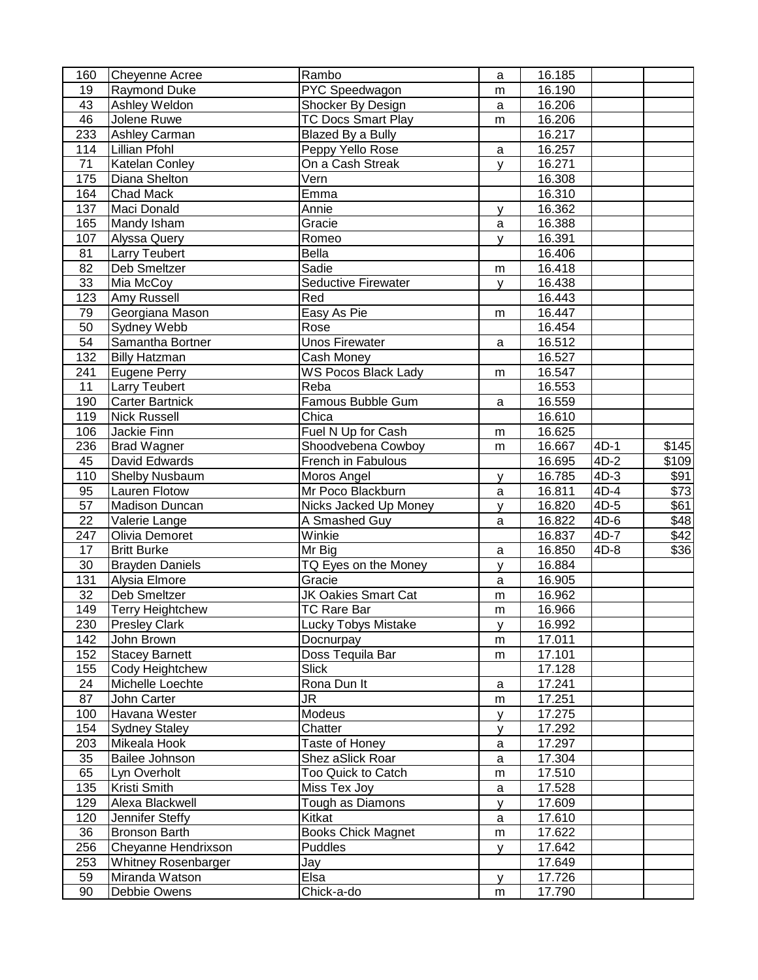| 160             | <b>Cheyenne Acree</b>   | Rambo                      | a | 16.185 |        |       |
|-----------------|-------------------------|----------------------------|---|--------|--------|-------|
| 19              | <b>Raymond Duke</b>     | PYC Speedwagon             | m | 16.190 |        |       |
| 43              | Ashley Weldon           | Shocker By Design          | a | 16.206 |        |       |
| 46              | Jolene Ruwe             | <b>TC Docs Smart Play</b>  | m | 16.206 |        |       |
| 233             | Ashley Carman           | Blazed By a Bully          |   | 16.217 |        |       |
| 114             | Lillian Pfohl           | Peppy Yello Rose           | a | 16.257 |        |       |
| 71              | Katelan Conley          | On a Cash Streak           | У | 16.271 |        |       |
| 175             | Diana Shelton           | Vern                       |   | 16.308 |        |       |
| 164             | <b>Chad Mack</b>        | Emma                       |   | 16.310 |        |       |
| 137             | Maci Donald             | Annie                      | У | 16.362 |        |       |
| 165             | Mandy Isham             | Gracie                     | a | 16.388 |        |       |
| 107             | Alyssa Query            | Romeo                      | У | 16.391 |        |       |
| 81              | <b>Larry Teubert</b>    | <b>Bella</b>               |   | 16.406 |        |       |
| 82              | Deb Smeltzer            | Sadie                      | m | 16.418 |        |       |
| 33              | Mia McCoy               | Seductive Firewater        | y | 16.438 |        |       |
| 123             | Amy Russell             | Red                        |   | 16.443 |        |       |
| 79              | Georgiana Mason         | Easy As Pie                | m | 16.447 |        |       |
| 50              | Sydney Webb             | Rose                       |   | 16.454 |        |       |
| 54              | Samantha Bortner        | <b>Unos Firewater</b>      | a | 16.512 |        |       |
| 132             | <b>Billy Hatzman</b>    | Cash Money                 |   | 16.527 |        |       |
| 241             | Eugene Perry            | <b>WS Pocos Black Lady</b> | m | 16.547 |        |       |
| 11              | <b>Larry Teubert</b>    | Reba                       |   | 16.553 |        |       |
| 190             | <b>Carter Bartnick</b>  | Famous Bubble Gum          | a | 16.559 |        |       |
| 119             | <b>Nick Russell</b>     | Chica                      |   | 16.610 |        |       |
| 106             | Jackie Finn             | Fuel N Up for Cash         | m | 16.625 |        |       |
| 236             | <b>Brad Wagner</b>      | Shoodvebena Cowboy         | m | 16.667 | 4D-1   | \$145 |
| 45              | David Edwards           | French in Fabulous         |   | 16.695 | $4D-2$ | \$109 |
| 110             | Shelby Nusbaum          | Moros Angel                | У | 16.785 | $4D-3$ | \$91  |
| 95              | Lauren Flotow           | Mr Poco Blackburn          | a | 16.811 | $4D-4$ | \$73  |
| 57              | Madison Duncan          | Nicks Jacked Up Money      | У | 16.820 | 4D-5   | \$61  |
| $\overline{22}$ | Valerie Lange           | A Smashed Guy              | a | 16.822 | 4D-6   | \$48  |
| 247             | Olivia Demoret          | Winkie                     |   | 16.837 | 4D-7   | \$42  |
| 17              | <b>Britt Burke</b>      | Mr Big                     | a | 16.850 | 4D-8   | \$36  |
| $\overline{30}$ | <b>Brayden Daniels</b>  | TQ Eyes on the Money       | У | 16.884 |        |       |
| 131             | Alysia Elmore           | Gracie                     | a | 16.905 |        |       |
| $\overline{32}$ | Deb Smeltzer            | <b>JK Oakies Smart Cat</b> | m | 16.962 |        |       |
| 149             | <b>Terry Heightchew</b> | <b>TC Rare Bar</b>         | m | 16.966 |        |       |
| 230             | <b>Presley Clark</b>    | <b>Lucky Tobys Mistake</b> | ٧ | 16.992 |        |       |
| 142             | John Brown              | Docnurpay                  | m | 17.011 |        |       |
| 152             | <b>Stacey Barnett</b>   | Doss Tequila Bar           | m | 17.101 |        |       |
| 155             | Cody Heightchew         | <b>Slick</b>               |   | 17.128 |        |       |
| 24              | Michelle Loechte        | Rona Dun It                | a | 17.241 |        |       |
| 87              | John Carter             | JR                         | m | 17.251 |        |       |
| 100             | Havana Wester           | Modeus                     | У | 17.275 |        |       |
| 154             | <b>Sydney Staley</b>    | Chatter                    | У | 17.292 |        |       |
| 203             | Mikeala Hook            | Taste of Honey             | a | 17.297 |        |       |
| 35              | Bailee Johnson          | Shez aSlick Roar           | a | 17.304 |        |       |
| 65              | Lyn Overholt            | Too Quick to Catch         | m | 17.510 |        |       |
| 135             | Kristi Smith            | Miss Tex Joy               | a | 17.528 |        |       |
| 129             | Alexa Blackwell         | Tough as Diamons           | У | 17.609 |        |       |
| 120             | Jennifer Steffy         | Kitkat                     | a | 17.610 |        |       |
| 36              | <b>Bronson Barth</b>    | <b>Books Chick Magnet</b>  | m | 17.622 |        |       |
| 256             | Cheyanne Hendrixson     | Puddles                    | y | 17.642 |        |       |
| 253             | Whitney Rosenbarger     | Jay                        |   | 17.649 |        |       |
| 59              | Miranda Watson          | Elsa                       | y | 17.726 |        |       |
| 90              | Debbie Owens            | Chick-a-do                 | m | 17.790 |        |       |
|                 |                         |                            |   |        |        |       |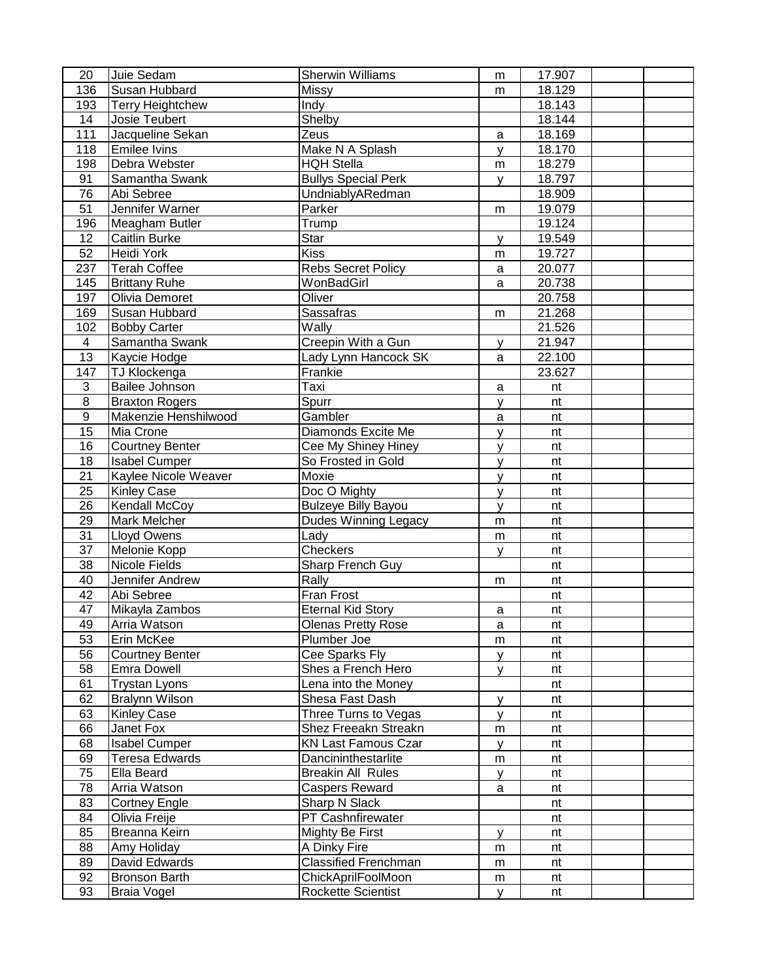| 20              | Juie Sedam              | <b>Sherwin Williams</b>     | m         | 17.907 |  |
|-----------------|-------------------------|-----------------------------|-----------|--------|--|
| 136             | Susan Hubbard           | Missy                       | m         | 18.129 |  |
| 193             | <b>Terry Heightchew</b> | Indy                        |           | 18.143 |  |
| 14              | Josie Teubert           | Shelby                      |           | 18.144 |  |
| 111             | Jacqueline Sekan        | Zeus                        | a         | 18.169 |  |
| 118             | <b>Emilee Ivins</b>     | Make N A Splash             | У         | 18.170 |  |
| 198             | Debra Webster           | <b>HQH Stella</b>           | m         | 18.279 |  |
| 91              | Samantha Swank          | <b>Bullys Special Perk</b>  | У         | 18.797 |  |
| 76              | Abi Sebree              | UndniablyARedman            |           | 18.909 |  |
| $\overline{51}$ | Jennifer Warner         | Parker                      | m         | 19.079 |  |
| 196             | Meagham Butler          | Trump                       |           | 19.124 |  |
| 12              | Caitlin Burke           | Star                        | У         | 19.549 |  |
| 52              | Heidi York              | Kiss                        | m         | 19.727 |  |
| 237             | <b>Terah Coffee</b>     | <b>Rebs Secret Policy</b>   | a         | 20.077 |  |
| 145             | <b>Brittany Ruhe</b>    | WonBadGirl                  | a         | 20.738 |  |
| 197             | Olivia Demoret          | Oliver                      |           | 20.758 |  |
| 169             | Susan Hubbard           | Sassafras                   | m         | 21.268 |  |
| 102             | <b>Bobby Carter</b>     | Wally                       |           | 21.526 |  |
| $\overline{4}$  | Samantha Swank          | Creepin With a Gun          | у         | 21.947 |  |
| 13              | Kaycie Hodge            | Lady Lynn Hancock SK        | a         | 22.100 |  |
| 147             | TJ Klockenga            | Frankie                     |           | 23.627 |  |
| 3               | Bailee Johnson          | Taxi                        | a         | nt     |  |
| 8               | <b>Braxton Rogers</b>   | Spurr                       | У         | nt     |  |
| 9               | Makenzie Henshilwood    | Gambler                     | a         | nt     |  |
| 15              | Mia Crone               | Diamonds Excite Me          | y         | nt     |  |
| 16              | <b>Courtney Benter</b>  | Cee My Shiney Hiney         | y         | nt     |  |
| 18              | <b>Isabel Cumper</b>    | So Frosted in Gold          | y         | nt     |  |
| 21              | Kaylee Nicole Weaver    | Moxie                       | y         | nt     |  |
| 25              | <b>Kinley Case</b>      | Doc O Mighty                | y         | nt     |  |
| 26              | <b>Kendall McCoy</b>    | <b>Bulzeye Billy Bayou</b>  | У         | nt     |  |
| 29              | <b>Mark Melcher</b>     | <b>Dudes Winning Legacy</b> | m         | nt     |  |
| $\overline{31}$ | <b>Lloyd Owens</b>      | Lady                        | ${\sf m}$ | nt     |  |
| 37              | Melonie Kopp            | Checkers                    | У         | nt     |  |
| 38              | Nicole Fields           | Sharp French Guy            |           | nt     |  |
| 40              | Jennifer Andrew         | Rally                       | m         | nt     |  |
| 42              | Abi Sebree              | Fran Frost                  |           | nt     |  |
| 47              | Mikayla Zambos          | <b>Eternal Kid Story</b>    | a         | nt     |  |
| 49              | Arria Watson            | Olenas Pretty Rose          | a         | nt     |  |
| 53              | Erin McKee              | Plumber Joe                 | m         | nt     |  |
| 56              | <b>Courtney Benter</b>  | Cee Sparks Fly              | y         | nt     |  |
| 58              | <b>Emra Dowell</b>      | Shes a French Hero          | y         | nt     |  |
| 61              | <b>Trystan Lyons</b>    | Lena into the Money         |           | nt     |  |
| 62              | <b>Bralynn Wilson</b>   | Shesa Fast Dash             | y         | nt     |  |
| 63              | <b>Kinley Case</b>      | Three Turns to Vegas        | У         | nt     |  |
| 66              | Janet Fox               | Shez Freeakn Streakn        | m         | nt     |  |
| 68              | <b>Isabel Cumper</b>    | <b>KN Last Famous Czar</b>  | У         | nt     |  |
| 69              | <b>Teresa Edwards</b>   | Dancininthestarlite         | m         | nt     |  |
| 75              | Ella Beard              | <b>Breakin All Rules</b>    | У         | nt     |  |
| 78              | Arria Watson            | Caspers Reward              | a         | nt     |  |
| 83              | <b>Cortney Engle</b>    | Sharp N Slack               |           | nt     |  |
| 84              | Olivia Freije           | PT Cashnfirewater           |           | nt     |  |
| 85              | Breanna Keirn           | Mighty Be First             | У         | nt     |  |
| 88              | Amy Holiday             | A Dinky Fire                | m         | nt     |  |
| 89              | David Edwards           | <b>Classified Frenchman</b> | m         | nt     |  |
| 92              | <b>Bronson Barth</b>    | ChickAprilFoolMoon          | m         | nt     |  |
| 93              | <b>Braia Vogel</b>      | Rockette Scientist          | y         | nt     |  |
|                 |                         |                             |           |        |  |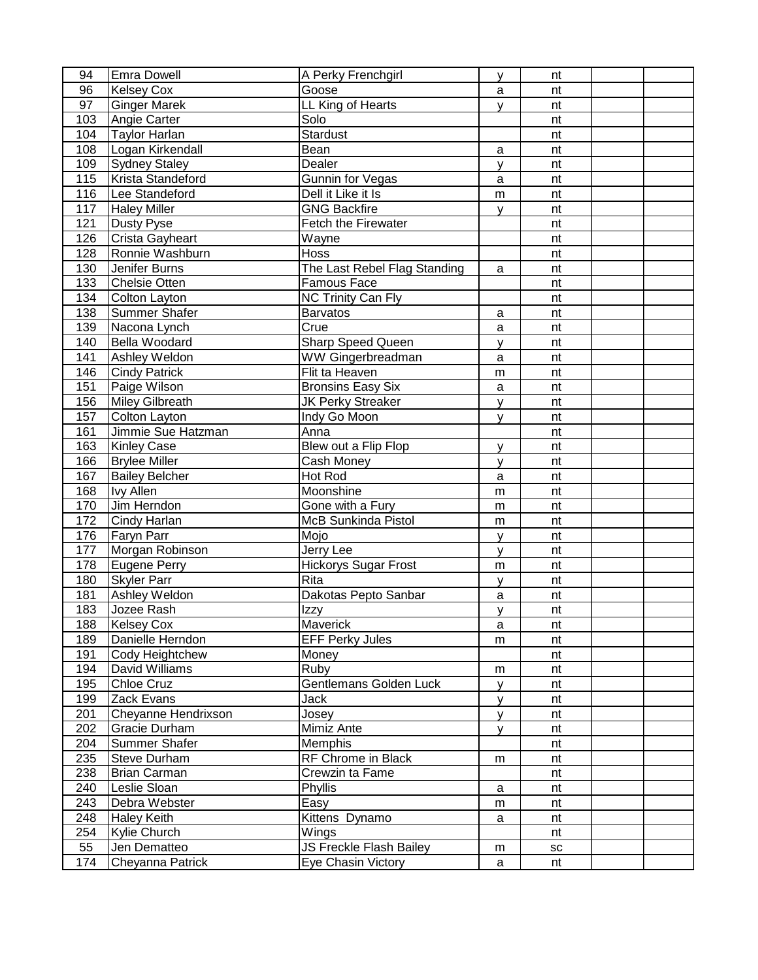| 94  | <b>Emra Dowell</b>     | A Perky Frenchgirl           | y            | nt |  |
|-----|------------------------|------------------------------|--------------|----|--|
| 96  | <b>Kelsey Cox</b>      | Goose                        | a            | nt |  |
| 97  | <b>Ginger Marek</b>    | LL King of Hearts            | У            | nt |  |
| 103 | Angie Carter           | Solo                         |              | nt |  |
| 104 | <b>Taylor Harlan</b>   | Stardust                     |              | nt |  |
| 108 | Logan Kirkendall       | Bean                         | a            | nt |  |
| 109 | <b>Sydney Staley</b>   | Dealer                       | У            | nt |  |
| 115 | Krista Standeford      | Gunnin for Vegas             | $\mathsf{a}$ | nt |  |
| 116 | Lee Standeford         | Dell it Like it Is           | m            | nt |  |
| 117 | <b>Haley Miller</b>    | <b>GNG Backfire</b>          | y            | nt |  |
| 121 | <b>Dusty Pyse</b>      | Fetch the Firewater          |              | nt |  |
| 126 | Crista Gayheart        | Wayne                        |              | nt |  |
| 128 | Ronnie Washburn        | Hoss                         |              | nt |  |
| 130 | Jenifer Burns          | The Last Rebel Flag Standing | a            | nt |  |
| 133 | <b>Chelsie Otten</b>   | Famous Face                  |              | nt |  |
| 134 | <b>Colton Layton</b>   | <b>NC Trinity Can Fly</b>    |              | nt |  |
| 138 | <b>Summer Shafer</b>   | <b>Barvatos</b>              | a            | nt |  |
| 139 | Nacona Lynch           | Crue                         | a            | nt |  |
| 140 | Bella Woodard          | Sharp Speed Queen            | y            | nt |  |
| 141 | Ashley Weldon          | WW Gingerbreadman            | $\mathsf{a}$ | nt |  |
| 146 | <b>Cindy Patrick</b>   | Flit ta Heaven               | m            | nt |  |
| 151 | Paige Wilson           | <b>Bronsins Easy Six</b>     | a            | nt |  |
| 156 | <b>Miley Gilbreath</b> | JK Perky Streaker            | y            | nt |  |
| 157 | Colton Layton          | Indy Go Moon                 | y            | nt |  |
| 161 | Jimmie Sue Hatzman     | Anna                         |              | nt |  |
| 163 | <b>Kinley Case</b>     | Blew out a Flip Flop         | y            | nt |  |
| 166 | <b>Brylee Miller</b>   | Cash Money                   | У            | nt |  |
| 167 | <b>Bailey Belcher</b>  | Hot Rod                      | a            | nt |  |
| 168 | <b>Ivy Allen</b>       | Moonshine                    | m            | nt |  |
| 170 | Jim Herndon            | Gone with a Fury             | m            | nt |  |
| 172 | Cindy Harlan           | <b>McB Sunkinda Pistol</b>   | m            | nt |  |
| 176 | Faryn Parr             | Mojo                         | У            | nt |  |
| 177 | Morgan Robinson        | Jerry Lee                    | y            | nt |  |
| 178 | Eugene Perry           | <b>Hickorys Sugar Frost</b>  | m            | nt |  |
| 180 | <b>Skyler Parr</b>     | Rita                         | У            | nt |  |
| 181 | Ashley Weldon          | Dakotas Pepto Sanbar         | $\mathsf{a}$ | nt |  |
| 183 | Jozee Rash             | Izzy                         | y            | nt |  |
| 188 | <b>Kelsey Cox</b>      | Maverick                     | a            | nt |  |
| 189 | Danielle Herndon       | <b>EFF Perky Jules</b>       | m            | nt |  |
| 191 | Cody Heightchew        | Money                        |              | nt |  |
| 194 | David Williams         | Ruby                         | m            | nt |  |
| 195 | <b>Chloe Cruz</b>      | Gentlemans Golden Luck       | y            | nt |  |
| 199 | Zack Evans             | Jack                         | У            | nt |  |
| 201 | Cheyanne Hendrixson    | Josey                        | У            | nt |  |
| 202 | Gracie Durham          | Mimiz Ante                   | У            | nt |  |
| 204 | Summer Shafer          | Memphis                      |              | nt |  |
| 235 | <b>Steve Durham</b>    | RF Chrome in Black           | m            | nt |  |
| 238 | <b>Brian Carman</b>    | Crewzin ta Fame              |              | nt |  |
| 240 | Leslie Sloan           | Phyllis                      | a            | nt |  |
| 243 | Debra Webster          | Easy                         | m            | nt |  |
| 248 | <b>Haley Keith</b>     | Kittens Dynamo               | a            | nt |  |
| 254 | Kylie Church           | Wings                        |              | nt |  |
| 55  | Jen Dematteo           | JS Freckle Flash Bailey      | m            | SC |  |
| 174 | Cheyanna Patrick       | Eye Chasin Victory           | a            | nt |  |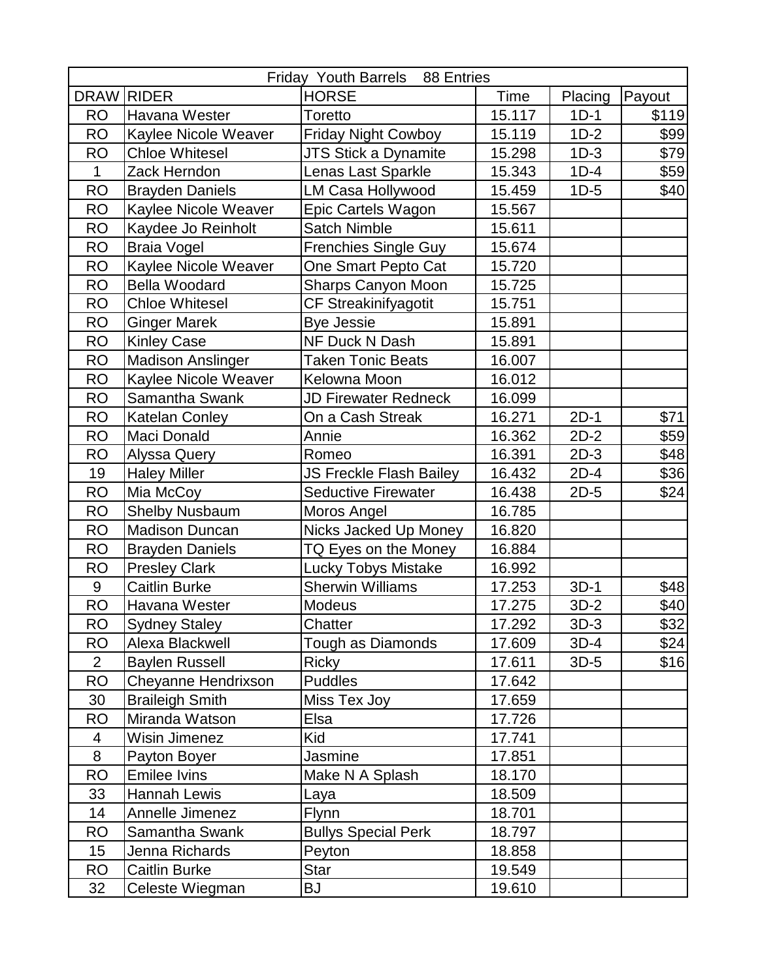| <b>Friday Youth Barrels</b><br>88 Entries |                          |                                |        |         |        |  |
|-------------------------------------------|--------------------------|--------------------------------|--------|---------|--------|--|
| <b>DRAW</b>                               | <b>RIDER</b>             | <b>HORSE</b>                   | Time   | Placing | Payout |  |
| <b>RO</b>                                 | Havana Wester            | Toretto                        | 15.117 | $1D-1$  | \$119  |  |
| <b>RO</b>                                 | Kaylee Nicole Weaver     | <b>Friday Night Cowboy</b>     | 15.119 | $1D-2$  | \$99   |  |
| <b>RO</b>                                 | <b>Chloe Whitesel</b>    | <b>JTS Stick a Dynamite</b>    | 15.298 | $1D-3$  | \$79   |  |
| 1                                         | Zack Herndon             | Lenas Last Sparkle             | 15.343 | $1D-4$  | \$59   |  |
| <b>RO</b>                                 | <b>Brayden Daniels</b>   | LM Casa Hollywood              | 15.459 | $1D-5$  | \$40   |  |
| <b>RO</b>                                 | Kaylee Nicole Weaver     | Epic Cartels Wagon             | 15.567 |         |        |  |
| <b>RO</b>                                 | Kaydee Jo Reinholt       | <b>Satch Nimble</b>            | 15.611 |         |        |  |
| <b>RO</b>                                 | <b>Braia Vogel</b>       | Frenchies Single Guy           | 15.674 |         |        |  |
| <b>RO</b>                                 | Kaylee Nicole Weaver     | One Smart Pepto Cat            | 15.720 |         |        |  |
| <b>RO</b>                                 | <b>Bella Woodard</b>     | Sharps Canyon Moon             | 15.725 |         |        |  |
| <b>RO</b>                                 | <b>Chloe Whitesel</b>    | <b>CF Streakinifyagotit</b>    | 15.751 |         |        |  |
| <b>RO</b>                                 | <b>Ginger Marek</b>      | <b>Bye Jessie</b>              | 15.891 |         |        |  |
| <b>RO</b>                                 | <b>Kinley Case</b>       | NF Duck N Dash                 | 15.891 |         |        |  |
| <b>RO</b>                                 | <b>Madison Anslinger</b> | <b>Taken Tonic Beats</b>       | 16.007 |         |        |  |
| <b>RO</b>                                 | Kaylee Nicole Weaver     | Kelowna Moon                   | 16.012 |         |        |  |
| <b>RO</b>                                 | Samantha Swank           | <b>JD Firewater Redneck</b>    | 16.099 |         |        |  |
| <b>RO</b>                                 | <b>Katelan Conley</b>    | On a Cash Streak               | 16.271 | $2D-1$  | \$71   |  |
| <b>RO</b>                                 | Maci Donald              | Annie                          | 16.362 | $2D-2$  | \$59   |  |
| <b>RO</b>                                 | Alyssa Query             | Romeo                          | 16.391 | $2D-3$  | \$48   |  |
| 19                                        | <b>Haley Miller</b>      | <b>JS Freckle Flash Bailey</b> | 16.432 | $2D-4$  | \$36   |  |
| <b>RO</b>                                 | Mia McCoy                | <b>Seductive Firewater</b>     | 16.438 | $2D-5$  | \$24   |  |
| <b>RO</b>                                 | <b>Shelby Nusbaum</b>    | Moros Angel                    | 16.785 |         |        |  |
| <b>RO</b>                                 | <b>Madison Duncan</b>    | Nicks Jacked Up Money          | 16.820 |         |        |  |
| <b>RO</b>                                 | <b>Brayden Daniels</b>   | TQ Eyes on the Money           | 16.884 |         |        |  |
| <b>RO</b>                                 | <b>Presley Clark</b>     | Lucky Tobys Mistake            | 16.992 |         |        |  |
| $9$                                       | <b>Caitlin Burke</b>     | <b>Sherwin Williams</b>        | 17.253 | $3D-1$  | \$48   |  |
| <b>RO</b>                                 | Havana Wester            | Modeus                         | 17.275 | $3D-2$  | \$40   |  |
| <b>RO</b>                                 | <b>Sydney Staley</b>     | Chatter                        | 17.292 | $3D-3$  | \$32   |  |
| RO                                        | Alexa Blackwell          | Tough as Diamonds              | 17.609 | $3D-4$  | \$24   |  |
| $\overline{2}$                            | <b>Baylen Russell</b>    | <b>Ricky</b>                   | 17.611 | $3D-5$  | \$16   |  |
| <b>RO</b>                                 | Cheyanne Hendrixson      | <b>Puddles</b>                 | 17.642 |         |        |  |
| 30                                        | <b>Braileigh Smith</b>   | Miss Tex Joy                   | 17.659 |         |        |  |
| <b>RO</b>                                 | Miranda Watson           | Elsa                           | 17.726 |         |        |  |
| 4                                         | Wisin Jimenez            | Kid                            | 17.741 |         |        |  |
| 8                                         | Payton Boyer             | Jasmine                        | 17.851 |         |        |  |
| <b>RO</b>                                 | <b>Emilee Ivins</b>      | Make N A Splash                | 18.170 |         |        |  |
| 33                                        | Hannah Lewis             | Laya                           | 18.509 |         |        |  |
| 14                                        | Annelle Jimenez          | Flynn                          | 18.701 |         |        |  |
| <b>RO</b>                                 | Samantha Swank           | <b>Bullys Special Perk</b>     | 18.797 |         |        |  |
| 15                                        | Jenna Richards           | Peyton                         | 18.858 |         |        |  |
| <b>RO</b>                                 | <b>Caitlin Burke</b>     | <b>Star</b>                    | 19.549 |         |        |  |
| 32                                        | Celeste Wiegman          | <b>BJ</b>                      | 19.610 |         |        |  |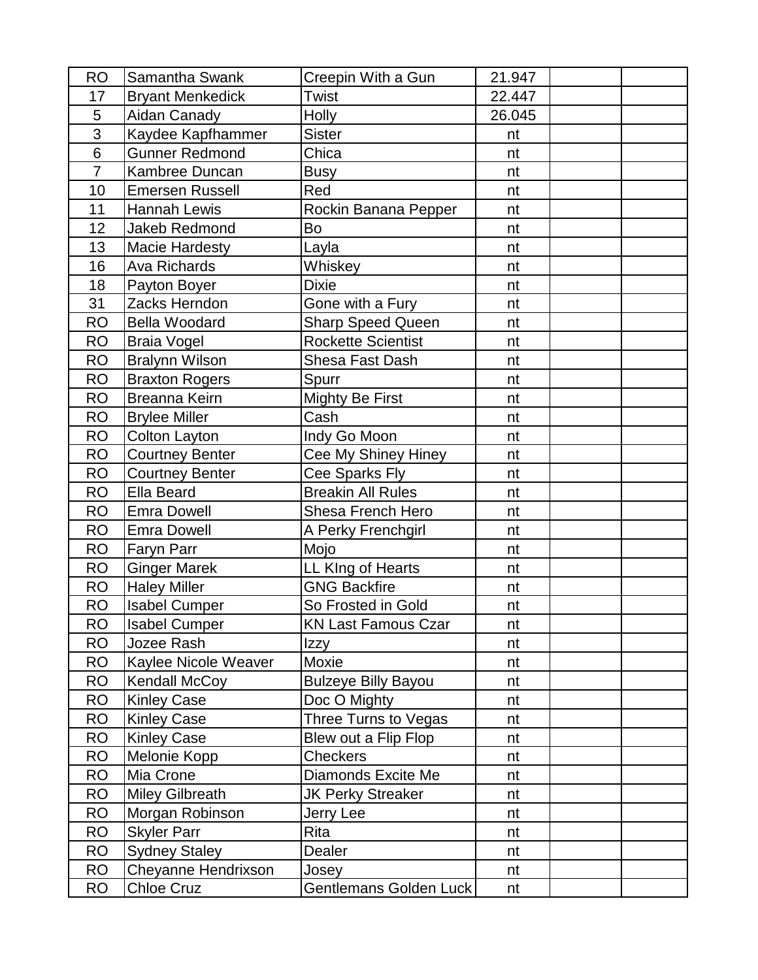| <b>RO</b>      | Samantha Swank          | Creepin With a Gun         | 21.947 |  |
|----------------|-------------------------|----------------------------|--------|--|
| 17             | <b>Bryant Menkedick</b> | <b>Twist</b>               | 22.447 |  |
| 5              | Aidan Canady            | <b>Holly</b>               | 26.045 |  |
| $\overline{3}$ | Kaydee Kapfhammer       | <b>Sister</b>              | nt     |  |
| $6\phantom{1}$ | <b>Gunner Redmond</b>   | Chica                      | nt     |  |
| $\overline{7}$ | Kambree Duncan          | <b>Busy</b>                | nt     |  |
| 10             | <b>Emersen Russell</b>  | Red                        | nt     |  |
| 11             | <b>Hannah Lewis</b>     | Rockin Banana Pepper       | nt     |  |
| 12             | <b>Jakeb Redmond</b>    | Bo                         | nt     |  |
| 13             | <b>Macie Hardesty</b>   | Layla                      | nt     |  |
| 16             | <b>Ava Richards</b>     | Whiskey                    | nt     |  |
| 18             | Payton Boyer            | <b>Dixie</b>               | nt     |  |
| 31             | Zacks Herndon           | Gone with a Fury           | nt     |  |
| <b>RO</b>      | <b>Bella Woodard</b>    | Sharp Speed Queen          | nt     |  |
| <b>RO</b>      | <b>Braia Vogel</b>      | <b>Rockette Scientist</b>  | nt     |  |
| <b>RO</b>      | <b>Bralynn Wilson</b>   | Shesa Fast Dash            | nt     |  |
| <b>RO</b>      | <b>Braxton Rogers</b>   | Spurr                      | nt     |  |
| <b>RO</b>      | Breanna Keirn           | <b>Mighty Be First</b>     | nt     |  |
| <b>RO</b>      | <b>Brylee Miller</b>    | Cash                       | nt     |  |
| <b>RO</b>      | <b>Colton Layton</b>    | Indy Go Moon               | nt     |  |
| <b>RO</b>      | <b>Courtney Benter</b>  | Cee My Shiney Hiney        | nt     |  |
| <b>RO</b>      | <b>Courtney Benter</b>  | Cee Sparks Fly             | nt     |  |
| <b>RO</b>      | <b>Ella Beard</b>       | <b>Breakin All Rules</b>   | nt     |  |
| <b>RO</b>      | <b>Emra Dowell</b>      | Shesa French Hero          | nt     |  |
| <b>RO</b>      | <b>Emra Dowell</b>      | A Perky Frenchgirl         | nt     |  |
| <b>RO</b>      | Faryn Parr              | Mojo                       | nt     |  |
| <b>RO</b>      | <b>Ginger Marek</b>     | LL KIng of Hearts          | nt     |  |
| <b>RO</b>      | <b>Haley Miller</b>     | <b>GNG Backfire</b>        | nt     |  |
| <b>RO</b>      | <b>Isabel Cumper</b>    | So Frosted in Gold         | nt     |  |
| <b>RO</b>      | <b>Isabel Cumper</b>    | <b>KN Last Famous Czar</b> | nt     |  |
| <b>RO</b>      | Jozee Rash              | Izzy                       | nt     |  |
| <b>RO</b>      | Kaylee Nicole Weaver    | Moxie                      | nt     |  |
| <b>RO</b>      | <b>Kendall McCoy</b>    | <b>Bulzeye Billy Bayou</b> | nt     |  |
| <b>RO</b>      | <b>Kinley Case</b>      | Doc O Mighty               | nt     |  |
| <b>RO</b>      | <b>Kinley Case</b>      | Three Turns to Vegas       | nt     |  |
| <b>RO</b>      | <b>Kinley Case</b>      | Blew out a Flip Flop       | nt     |  |
| <b>RO</b>      | Melonie Kopp            | <b>Checkers</b>            | nt     |  |
| <b>RO</b>      | Mia Crone               | Diamonds Excite Me         | nt     |  |
| <b>RO</b>      | <b>Miley Gilbreath</b>  | <b>JK Perky Streaker</b>   | nt     |  |
| <b>RO</b>      | Morgan Robinson         | Jerry Lee                  | nt     |  |
| <b>RO</b>      | <b>Skyler Parr</b>      | Rita                       | nt     |  |
| <b>RO</b>      | <b>Sydney Staley</b>    | Dealer                     | nt     |  |
| <b>RO</b>      | Cheyanne Hendrixson     | Josey                      | nt     |  |
| <b>RO</b>      | Chloe Cruz              | Gentlemans Golden Luck     | nt     |  |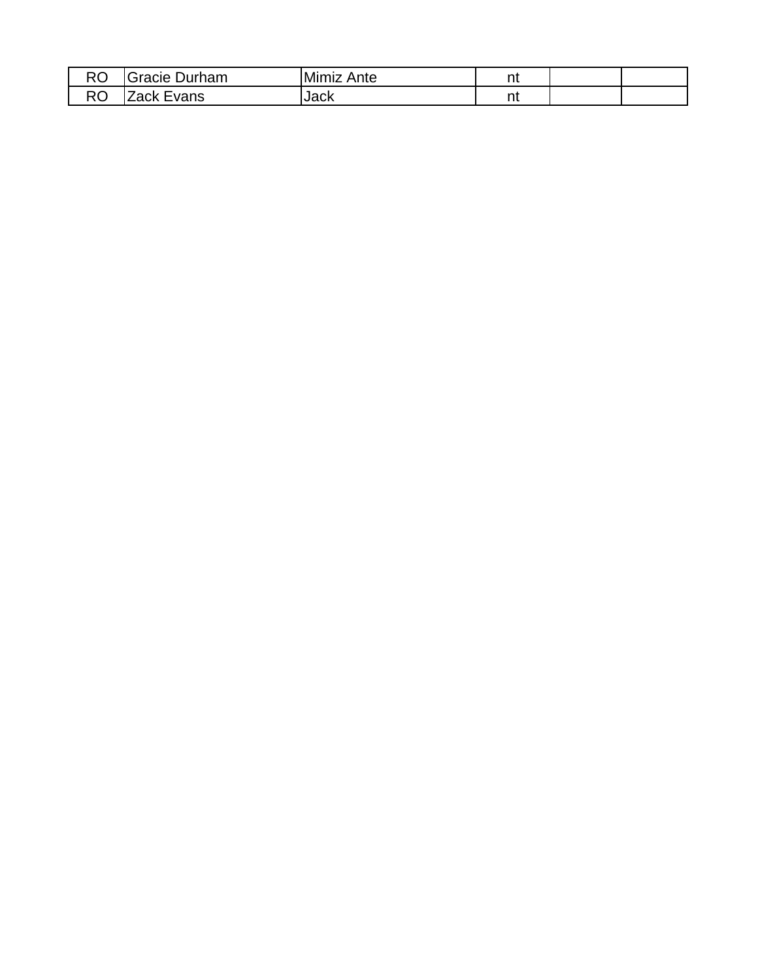| D <sub>O</sub><br>w | Durham<br>`racıe               | Mimiz<br>Ante | n.<br>. |  |
|---------------------|--------------------------------|---------------|---------|--|
| nn<br>w             | $\sim$ r vances<br>Lack<br>115 | Jack          | .       |  |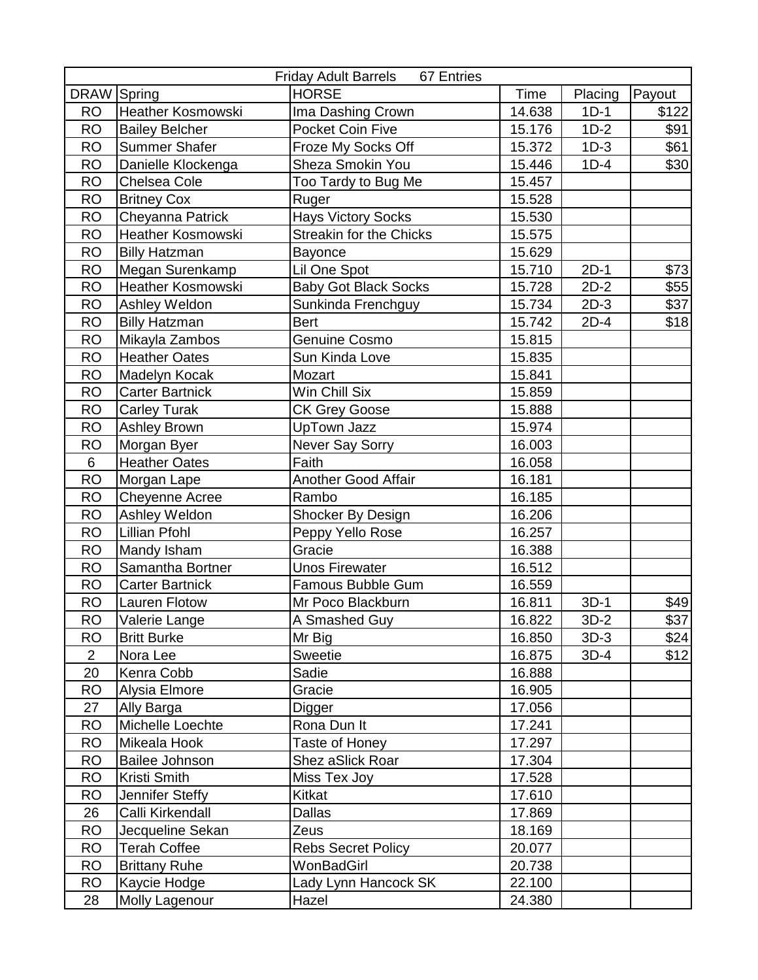| DRAW Spring<br><b>HORSE</b><br>Payout<br>Time<br>Placing<br><b>Heather Kosmowski</b><br>Ima Dashing Crown<br>14.638<br>\$122<br><b>RO</b><br>$1D-1$<br><b>RO</b><br>$1D-2$<br>\$91<br><b>Bailey Belcher</b><br>Pocket Coin Five<br>15.176<br><b>RO</b><br>$1D-3$<br><b>Summer Shafer</b><br>Froze My Socks Off<br>15.372<br>\$61<br>Sheza Smokin You<br><b>RO</b><br>Danielle Klockenga<br>15.446<br>$1D-4$<br>\$30<br><b>RO</b><br>Chelsea Cole<br>Too Tardy to Bug Me<br>15.457<br><b>RO</b><br>15.528<br><b>Britney Cox</b><br>Ruger<br><b>RO</b><br>Cheyanna Patrick<br><b>Hays Victory Socks</b><br>15.530<br><b>RO</b><br><b>Heather Kosmowski</b><br><b>Streakin for the Chicks</b><br>15.575<br><b>RO</b><br><b>Billy Hatzman</b><br>15.629<br>Bayonce<br><b>RO</b><br>Megan Surenkamp<br>15.710<br>$2D-1$<br>\$73<br>Lil One Spot<br><b>RO</b><br>Heather Kosmowski<br><b>Baby Got Black Socks</b><br>15.728<br>$2D-2$<br>\$55<br>$2D-3$<br><b>RO</b><br>15.734<br>\$37<br>Ashley Weldon<br>Sunkinda Frenchguy<br><b>Billy Hatzman</b><br>\$18<br><b>RO</b><br><b>Bert</b><br>15.742<br>$2D-4$<br><b>RO</b><br>15.815<br>Mikayla Zambos<br>Genuine Cosmo |
|-------------------------------------------------------------------------------------------------------------------------------------------------------------------------------------------------------------------------------------------------------------------------------------------------------------------------------------------------------------------------------------------------------------------------------------------------------------------------------------------------------------------------------------------------------------------------------------------------------------------------------------------------------------------------------------------------------------------------------------------------------------------------------------------------------------------------------------------------------------------------------------------------------------------------------------------------------------------------------------------------------------------------------------------------------------------------------------------------------------------------------------------------------------------|
|                                                                                                                                                                                                                                                                                                                                                                                                                                                                                                                                                                                                                                                                                                                                                                                                                                                                                                                                                                                                                                                                                                                                                                   |
|                                                                                                                                                                                                                                                                                                                                                                                                                                                                                                                                                                                                                                                                                                                                                                                                                                                                                                                                                                                                                                                                                                                                                                   |
|                                                                                                                                                                                                                                                                                                                                                                                                                                                                                                                                                                                                                                                                                                                                                                                                                                                                                                                                                                                                                                                                                                                                                                   |
|                                                                                                                                                                                                                                                                                                                                                                                                                                                                                                                                                                                                                                                                                                                                                                                                                                                                                                                                                                                                                                                                                                                                                                   |
|                                                                                                                                                                                                                                                                                                                                                                                                                                                                                                                                                                                                                                                                                                                                                                                                                                                                                                                                                                                                                                                                                                                                                                   |
|                                                                                                                                                                                                                                                                                                                                                                                                                                                                                                                                                                                                                                                                                                                                                                                                                                                                                                                                                                                                                                                                                                                                                                   |
|                                                                                                                                                                                                                                                                                                                                                                                                                                                                                                                                                                                                                                                                                                                                                                                                                                                                                                                                                                                                                                                                                                                                                                   |
|                                                                                                                                                                                                                                                                                                                                                                                                                                                                                                                                                                                                                                                                                                                                                                                                                                                                                                                                                                                                                                                                                                                                                                   |
|                                                                                                                                                                                                                                                                                                                                                                                                                                                                                                                                                                                                                                                                                                                                                                                                                                                                                                                                                                                                                                                                                                                                                                   |
|                                                                                                                                                                                                                                                                                                                                                                                                                                                                                                                                                                                                                                                                                                                                                                                                                                                                                                                                                                                                                                                                                                                                                                   |
|                                                                                                                                                                                                                                                                                                                                                                                                                                                                                                                                                                                                                                                                                                                                                                                                                                                                                                                                                                                                                                                                                                                                                                   |
|                                                                                                                                                                                                                                                                                                                                                                                                                                                                                                                                                                                                                                                                                                                                                                                                                                                                                                                                                                                                                                                                                                                                                                   |
|                                                                                                                                                                                                                                                                                                                                                                                                                                                                                                                                                                                                                                                                                                                                                                                                                                                                                                                                                                                                                                                                                                                                                                   |
|                                                                                                                                                                                                                                                                                                                                                                                                                                                                                                                                                                                                                                                                                                                                                                                                                                                                                                                                                                                                                                                                                                                                                                   |
|                                                                                                                                                                                                                                                                                                                                                                                                                                                                                                                                                                                                                                                                                                                                                                                                                                                                                                                                                                                                                                                                                                                                                                   |
| <b>RO</b><br><b>Heather Oates</b><br>15.835<br>Sun Kinda Love                                                                                                                                                                                                                                                                                                                                                                                                                                                                                                                                                                                                                                                                                                                                                                                                                                                                                                                                                                                                                                                                                                     |
| <b>RO</b><br>Mozart<br>15.841<br>Madelyn Kocak                                                                                                                                                                                                                                                                                                                                                                                                                                                                                                                                                                                                                                                                                                                                                                                                                                                                                                                                                                                                                                                                                                                    |
| Win Chill Six<br><b>RO</b><br>15.859<br><b>Carter Bartnick</b>                                                                                                                                                                                                                                                                                                                                                                                                                                                                                                                                                                                                                                                                                                                                                                                                                                                                                                                                                                                                                                                                                                    |
| <b>RO</b><br><b>Carley Turak</b><br>15.888<br><b>CK Grey Goose</b>                                                                                                                                                                                                                                                                                                                                                                                                                                                                                                                                                                                                                                                                                                                                                                                                                                                                                                                                                                                                                                                                                                |
| <b>RO</b><br><b>UpTown Jazz</b><br><b>Ashley Brown</b><br>15.974                                                                                                                                                                                                                                                                                                                                                                                                                                                                                                                                                                                                                                                                                                                                                                                                                                                                                                                                                                                                                                                                                                  |
| <b>RO</b><br>Never Say Sorry<br>Morgan Byer<br>16.003                                                                                                                                                                                                                                                                                                                                                                                                                                                                                                                                                                                                                                                                                                                                                                                                                                                                                                                                                                                                                                                                                                             |
| 6<br><b>Heather Oates</b><br>Faith<br>16.058                                                                                                                                                                                                                                                                                                                                                                                                                                                                                                                                                                                                                                                                                                                                                                                                                                                                                                                                                                                                                                                                                                                      |
| <b>RO</b><br><b>Another Good Affair</b><br>16.181<br>Morgan Lape                                                                                                                                                                                                                                                                                                                                                                                                                                                                                                                                                                                                                                                                                                                                                                                                                                                                                                                                                                                                                                                                                                  |
| <b>RO</b><br>16.185<br>Cheyenne Acree<br>Rambo                                                                                                                                                                                                                                                                                                                                                                                                                                                                                                                                                                                                                                                                                                                                                                                                                                                                                                                                                                                                                                                                                                                    |
| <b>RO</b><br>Ashley Weldon<br>16.206<br>Shocker By Design                                                                                                                                                                                                                                                                                                                                                                                                                                                                                                                                                                                                                                                                                                                                                                                                                                                                                                                                                                                                                                                                                                         |
| <b>RO</b><br><b>Lillian Pfohl</b><br>Peppy Yello Rose<br>16.257                                                                                                                                                                                                                                                                                                                                                                                                                                                                                                                                                                                                                                                                                                                                                                                                                                                                                                                                                                                                                                                                                                   |
| <b>RO</b><br>Gracie<br>16.388<br>Mandy Isham                                                                                                                                                                                                                                                                                                                                                                                                                                                                                                                                                                                                                                                                                                                                                                                                                                                                                                                                                                                                                                                                                                                      |
| <b>RO</b><br>Samantha Bortner<br><b>Unos Firewater</b><br>16.512                                                                                                                                                                                                                                                                                                                                                                                                                                                                                                                                                                                                                                                                                                                                                                                                                                                                                                                                                                                                                                                                                                  |
| <b>RO</b><br>Famous Bubble Gum<br><b>Carter Bartnick</b><br>16.559                                                                                                                                                                                                                                                                                                                                                                                                                                                                                                                                                                                                                                                                                                                                                                                                                                                                                                                                                                                                                                                                                                |
| <b>RO</b><br>$3D-1$<br>\$49<br>Lauren Flotow<br>Mr Poco Blackburn<br>16.811                                                                                                                                                                                                                                                                                                                                                                                                                                                                                                                                                                                                                                                                                                                                                                                                                                                                                                                                                                                                                                                                                       |
| \$37<br><b>RO</b><br>$3D-2$<br>A Smashed Guy<br>16.822<br>Valerie Lange                                                                                                                                                                                                                                                                                                                                                                                                                                                                                                                                                                                                                                                                                                                                                                                                                                                                                                                                                                                                                                                                                           |
| Mr Big<br>16.850<br>$3D-3$<br>\$24<br><b>RO</b><br><b>Britt Burke</b>                                                                                                                                                                                                                                                                                                                                                                                                                                                                                                                                                                                                                                                                                                                                                                                                                                                                                                                                                                                                                                                                                             |
| $\overline{2}$<br>Nora Lee<br><b>Sweetie</b><br>16.875<br>$3D-4$<br>\$12                                                                                                                                                                                                                                                                                                                                                                                                                                                                                                                                                                                                                                                                                                                                                                                                                                                                                                                                                                                                                                                                                          |
| 20<br>Kenra Cobb<br>Sadie<br>16.888                                                                                                                                                                                                                                                                                                                                                                                                                                                                                                                                                                                                                                                                                                                                                                                                                                                                                                                                                                                                                                                                                                                               |
| <b>RO</b><br>Alysia Elmore<br>Gracie<br>16.905                                                                                                                                                                                                                                                                                                                                                                                                                                                                                                                                                                                                                                                                                                                                                                                                                                                                                                                                                                                                                                                                                                                    |
| 17.056<br>27<br>Ally Barga<br>Digger                                                                                                                                                                                                                                                                                                                                                                                                                                                                                                                                                                                                                                                                                                                                                                                                                                                                                                                                                                                                                                                                                                                              |
| Michelle Loechte<br><b>RO</b><br>Rona Dun It<br>17.241                                                                                                                                                                                                                                                                                                                                                                                                                                                                                                                                                                                                                                                                                                                                                                                                                                                                                                                                                                                                                                                                                                            |
| 17.297<br><b>RO</b><br>Mikeala Hook<br>Taste of Honey                                                                                                                                                                                                                                                                                                                                                                                                                                                                                                                                                                                                                                                                                                                                                                                                                                                                                                                                                                                                                                                                                                             |
| <b>RO</b><br>Bailee Johnson<br>Shez aSlick Roar<br>17.304                                                                                                                                                                                                                                                                                                                                                                                                                                                                                                                                                                                                                                                                                                                                                                                                                                                                                                                                                                                                                                                                                                         |
| <b>RO</b><br>Kristi Smith<br>Miss Tex Joy<br>17.528                                                                                                                                                                                                                                                                                                                                                                                                                                                                                                                                                                                                                                                                                                                                                                                                                                                                                                                                                                                                                                                                                                               |
| Kitkat<br><b>RO</b><br>Jennifer Steffy<br>17.610                                                                                                                                                                                                                                                                                                                                                                                                                                                                                                                                                                                                                                                                                                                                                                                                                                                                                                                                                                                                                                                                                                                  |
| 26<br>Calli Kirkendall<br>Dallas<br>17.869                                                                                                                                                                                                                                                                                                                                                                                                                                                                                                                                                                                                                                                                                                                                                                                                                                                                                                                                                                                                                                                                                                                        |
| <b>RO</b><br>Zeus<br>Jecqueline Sekan<br>18.169                                                                                                                                                                                                                                                                                                                                                                                                                                                                                                                                                                                                                                                                                                                                                                                                                                                                                                                                                                                                                                                                                                                   |
| <b>RO</b><br><b>Terah Coffee</b><br><b>Rebs Secret Policy</b><br>20.077                                                                                                                                                                                                                                                                                                                                                                                                                                                                                                                                                                                                                                                                                                                                                                                                                                                                                                                                                                                                                                                                                           |
| <b>RO</b><br><b>Brittany Ruhe</b><br>WonBadGirl<br>20.738                                                                                                                                                                                                                                                                                                                                                                                                                                                                                                                                                                                                                                                                                                                                                                                                                                                                                                                                                                                                                                                                                                         |
| <b>RO</b><br>Lady Lynn Hancock SK<br>Kaycie Hodge<br>22.100                                                                                                                                                                                                                                                                                                                                                                                                                                                                                                                                                                                                                                                                                                                                                                                                                                                                                                                                                                                                                                                                                                       |
| Hazel<br>28<br>Molly Lagenour<br>24.380                                                                                                                                                                                                                                                                                                                                                                                                                                                                                                                                                                                                                                                                                                                                                                                                                                                                                                                                                                                                                                                                                                                           |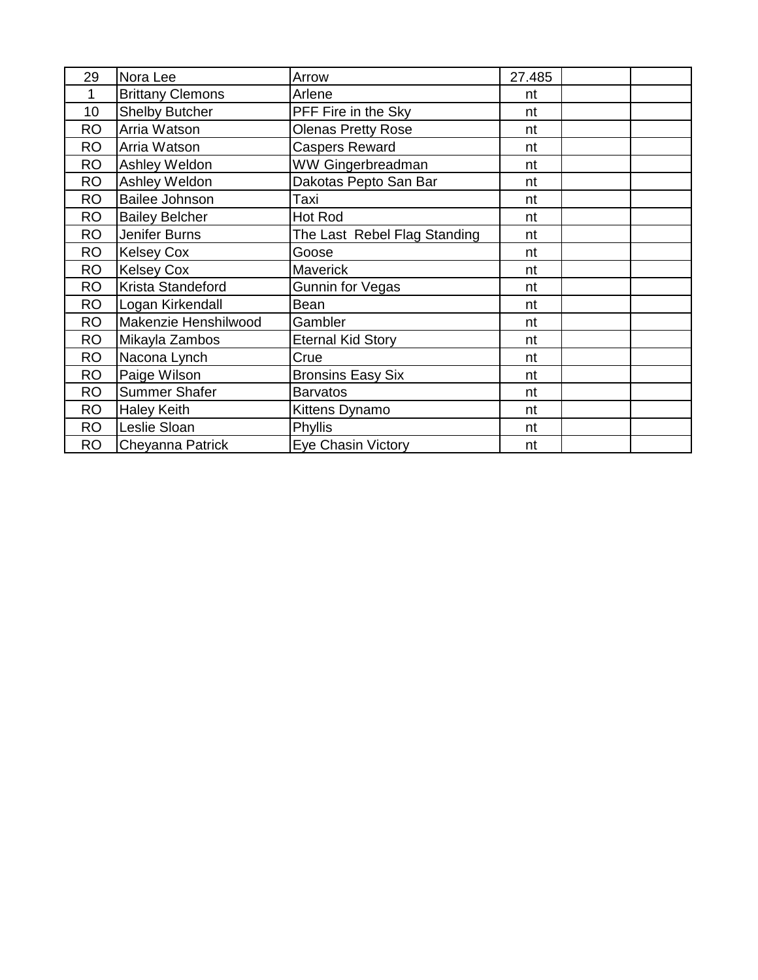| 29        | Nora Lee                | Arrow                        | 27.485 |  |
|-----------|-------------------------|------------------------------|--------|--|
| 1         | <b>Brittany Clemons</b> | Arlene                       | nt     |  |
| 10        | <b>Shelby Butcher</b>   | PFF Fire in the Sky          | nt     |  |
| <b>RO</b> | Arria Watson            | <b>Olenas Pretty Rose</b>    | nt     |  |
| <b>RO</b> | Arria Watson            | <b>Caspers Reward</b>        | nt     |  |
| <b>RO</b> | Ashley Weldon           | WW Gingerbreadman            | nt     |  |
| <b>RO</b> | Ashley Weldon           | Dakotas Pepto San Bar        | nt     |  |
| <b>RO</b> | Bailee Johnson          | Taxi                         | nt     |  |
| <b>RO</b> | <b>Bailey Belcher</b>   | Hot Rod                      | nt     |  |
| <b>RO</b> | Jenifer Burns           | The Last Rebel Flag Standing | nt     |  |
| <b>RO</b> | <b>Kelsey Cox</b>       | Goose                        | nt     |  |
| <b>RO</b> | <b>Kelsey Cox</b>       | <b>Maverick</b>              | nt     |  |
| <b>RO</b> | Krista Standeford       | Gunnin for Vegas             | nt     |  |
| <b>RO</b> | Logan Kirkendall        | Bean                         | nt     |  |
| <b>RO</b> | Makenzie Henshilwood    | Gambler                      | nt     |  |
| <b>RO</b> | Mikayla Zambos          | <b>Eternal Kid Story</b>     | nt     |  |
| <b>RO</b> | Nacona Lynch            | Crue                         | nt     |  |
| <b>RO</b> | Paige Wilson            | <b>Bronsins Easy Six</b>     | nt     |  |
| <b>RO</b> | <b>Summer Shafer</b>    | <b>Barvatos</b>              | nt     |  |
| <b>RO</b> | <b>Haley Keith</b>      | Kittens Dynamo               | nt     |  |
| <b>RO</b> | Leslie Sloan            | Phyllis                      | nt     |  |
| <b>RO</b> | Cheyanna Patrick        | Eye Chasin Victory           | nt     |  |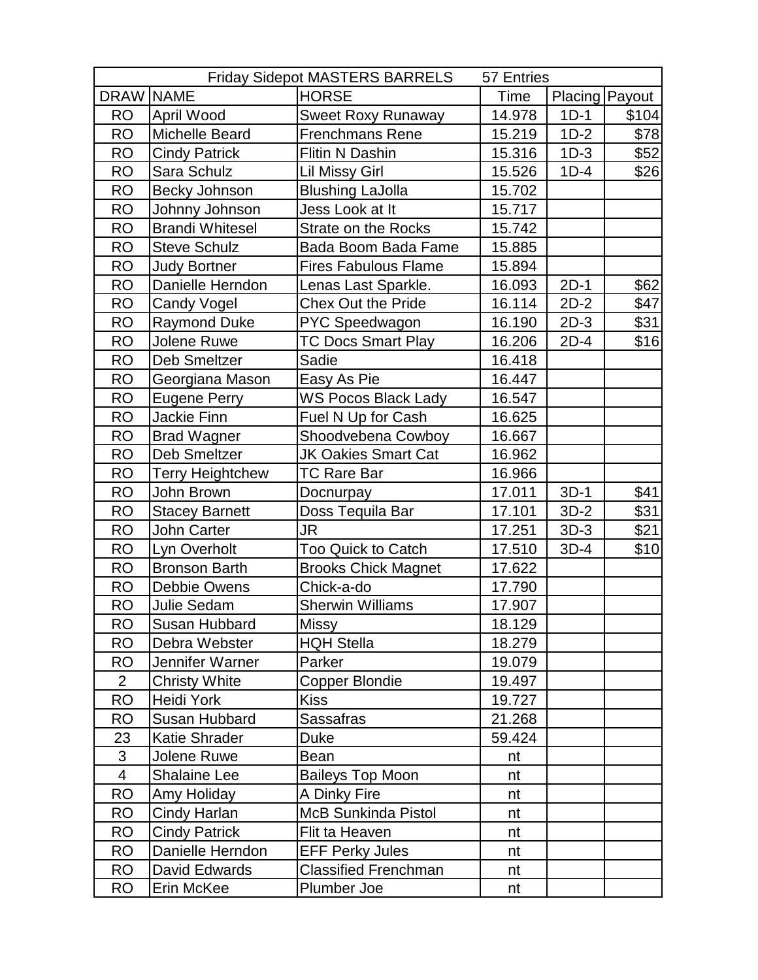|                  |                         | <b>Friday Sidepot MASTERS BARRELS</b> | 57 Entries |        |                |
|------------------|-------------------------|---------------------------------------|------------|--------|----------------|
| <b>DRAW NAME</b> |                         | <b>HORSE</b>                          | Time       |        | Placing Payout |
| <b>RO</b>        | April Wood              | <b>Sweet Roxy Runaway</b>             | 14.978     | $1D-1$ | \$104          |
| <b>RO</b>        | Michelle Beard          | <b>Frenchmans Rene</b>                | 15.219     | $1D-2$ | \$78           |
| <b>RO</b>        | <b>Cindy Patrick</b>    | Flitin N Dashin                       | 15.316     | $1D-3$ | \$52           |
| <b>RO</b>        | Sara Schulz             | <b>Lil Missy Girl</b>                 | 15.526     | $1D-4$ | \$26           |
| <b>RO</b>        | Becky Johnson           | <b>Blushing LaJolla</b>               | 15.702     |        |                |
| <b>RO</b>        | Johnny Johnson          | Jess Look at It                       | 15.717     |        |                |
| <b>RO</b>        | <b>Brandi Whitesel</b>  | Strate on the Rocks                   | 15.742     |        |                |
| <b>RO</b>        | <b>Steve Schulz</b>     | Bada Boom Bada Fame                   | 15.885     |        |                |
| <b>RO</b>        | <b>Judy Bortner</b>     | <b>Fires Fabulous Flame</b>           | 15.894     |        |                |
| <b>RO</b>        | Danielle Herndon        | Lenas Last Sparkle.                   | 16.093     | $2D-1$ | \$62           |
| <b>RO</b>        | <b>Candy Vogel</b>      | <b>Chex Out the Pride</b>             | 16.114     | $2D-2$ | \$47           |
| <b>RO</b>        | <b>Raymond Duke</b>     | PYC Speedwagon                        | 16.190     | $2D-3$ | \$31           |
| <b>RO</b>        | Jolene Ruwe             | <b>TC Docs Smart Play</b>             | 16.206     | $2D-4$ | \$16           |
| <b>RO</b>        | <b>Deb Smeltzer</b>     | Sadie                                 | 16.418     |        |                |
| <b>RO</b>        | Georgiana Mason         | Easy As Pie                           | 16.447     |        |                |
| <b>RO</b>        | <b>Eugene Perry</b>     | <b>WS Pocos Black Lady</b>            | 16.547     |        |                |
| <b>RO</b>        | <b>Jackie Finn</b>      | Fuel N Up for Cash                    | 16.625     |        |                |
| <b>RO</b>        | <b>Brad Wagner</b>      | Shoodvebena Cowboy                    | 16.667     |        |                |
| <b>RO</b>        | <b>Deb Smeltzer</b>     | <b>JK Oakies Smart Cat</b>            | 16.962     |        |                |
| <b>RO</b>        | <b>Terry Heightchew</b> | <b>TC Rare Bar</b>                    | 16.966     |        |                |
| <b>RO</b>        | John Brown              | Docnurpay                             | 17.011     | $3D-1$ | \$41           |
| <b>RO</b>        | <b>Stacey Barnett</b>   | Doss Tequila Bar                      | 17.101     | $3D-2$ | \$31           |
| <b>RO</b>        | John Carter             | JR                                    | 17.251     | $3D-3$ | \$21           |
| <b>RO</b>        | Lyn Overholt            | Too Quick to Catch                    | 17.510     | $3D-4$ | \$10           |
| <b>RO</b>        | <b>Bronson Barth</b>    | <b>Brooks Chick Magnet</b>            | 17.622     |        |                |
| <b>RO</b>        | Debbie Owens            | Chick-a-do                            | 17.790     |        |                |
| <b>RO</b>        | Julie Sedam             | <b>Sherwin Williams</b>               | 17.907     |        |                |
| <b>RO</b>        | Susan Hubbard           | <b>Missy</b>                          | 18.129     |        |                |
| <b>RO</b>        | Debra Webster           | <b>HQH Stella</b>                     | 18.279     |        |                |
| <b>RO</b>        | Jennifer Warner         | Parker                                | 19.079     |        |                |
| $\overline{2}$   | <b>Christy White</b>    | Copper Blondie                        | 19.497     |        |                |
| <b>RO</b>        | <b>Heidi York</b>       | <b>Kiss</b>                           | 19.727     |        |                |
| <b>RO</b>        | Susan Hubbard           | <b>Sassafras</b>                      | 21.268     |        |                |
| 23               | Katie Shrader           | Duke                                  | 59.424     |        |                |
| $\mathfrak{S}$   | Jolene Ruwe             | Bean                                  | nt         |        |                |
| $\overline{4}$   | <b>Shalaine Lee</b>     | <b>Baileys Top Moon</b>               | nt         |        |                |
| <b>RO</b>        | Amy Holiday             | A Dinky Fire                          | nt         |        |                |
| <b>RO</b>        | Cindy Harlan            | <b>McB Sunkinda Pistol</b>            | nt         |        |                |
| <b>RO</b>        | <b>Cindy Patrick</b>    | Flit ta Heaven                        | nt         |        |                |
| <b>RO</b>        | Danielle Herndon        | <b>EFF Perky Jules</b>                | nt         |        |                |
| <b>RO</b>        | David Edwards           | <b>Classified Frenchman</b>           | nt         |        |                |
| <b>RO</b>        | Erin McKee              | Plumber Joe                           | nt         |        |                |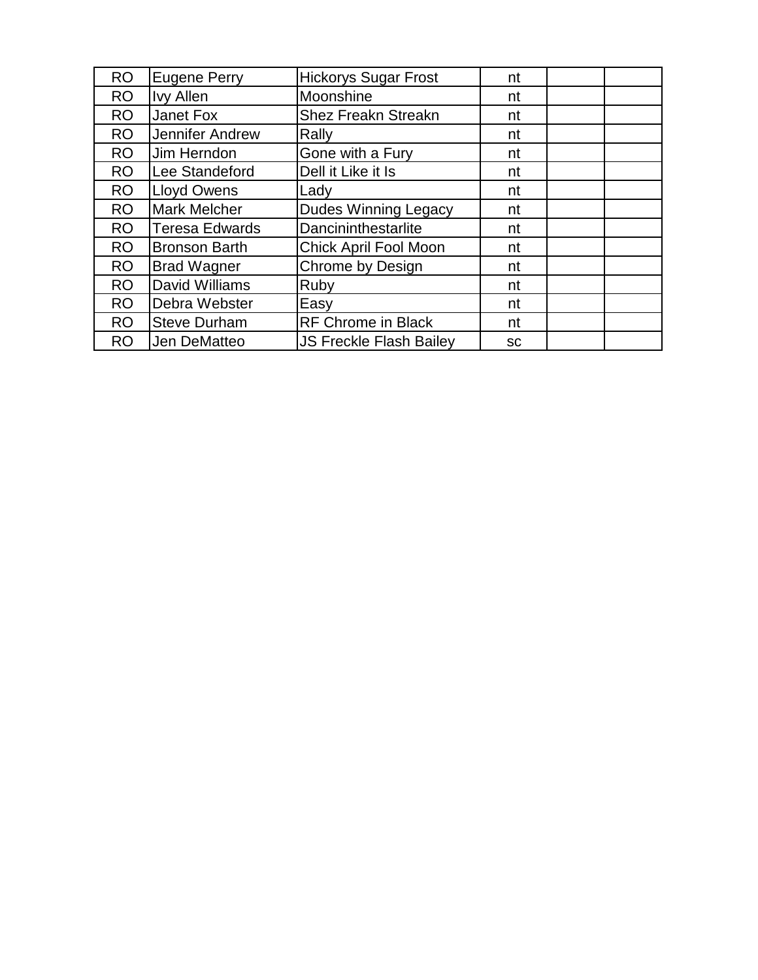| <b>RO</b> | <b>Eugene Perry</b>   | <b>Hickorys Sugar Frost</b>    | nt        |  |
|-----------|-----------------------|--------------------------------|-----------|--|
| <b>RO</b> | <b>Ivy Allen</b>      | Moonshine                      | nt        |  |
| <b>RO</b> | Janet Fox             | <b>Shez Freakn Streakn</b>     | nt        |  |
| <b>RO</b> | Jennifer Andrew       | Rally                          | nt        |  |
| <b>RO</b> | Jim Herndon           | Gone with a Fury               | nt        |  |
| <b>RO</b> | Lee Standeford        | Dell it Like it Is             | nt        |  |
| <b>RO</b> | <b>Lloyd Owens</b>    | Lady                           | nt        |  |
| RO        | <b>Mark Melcher</b>   | <b>Dudes Winning Legacy</b>    | nt        |  |
| <b>RO</b> | <b>Teresa Edwards</b> | Dancininthestarlite            | nt        |  |
| <b>RO</b> | <b>Bronson Barth</b>  | Chick April Fool Moon          | nt        |  |
| <b>RO</b> | <b>Brad Wagner</b>    | <b>Chrome by Design</b>        | nt        |  |
| <b>RO</b> | David Williams        | Ruby                           | nt        |  |
| <b>RO</b> | Debra Webster         | Easy                           | nt        |  |
| <b>RO</b> | <b>Steve Durham</b>   | <b>RF Chrome in Black</b>      | nt        |  |
| <b>RO</b> | Jen DeMatteo          | <b>JS Freckle Flash Bailey</b> | <b>SC</b> |  |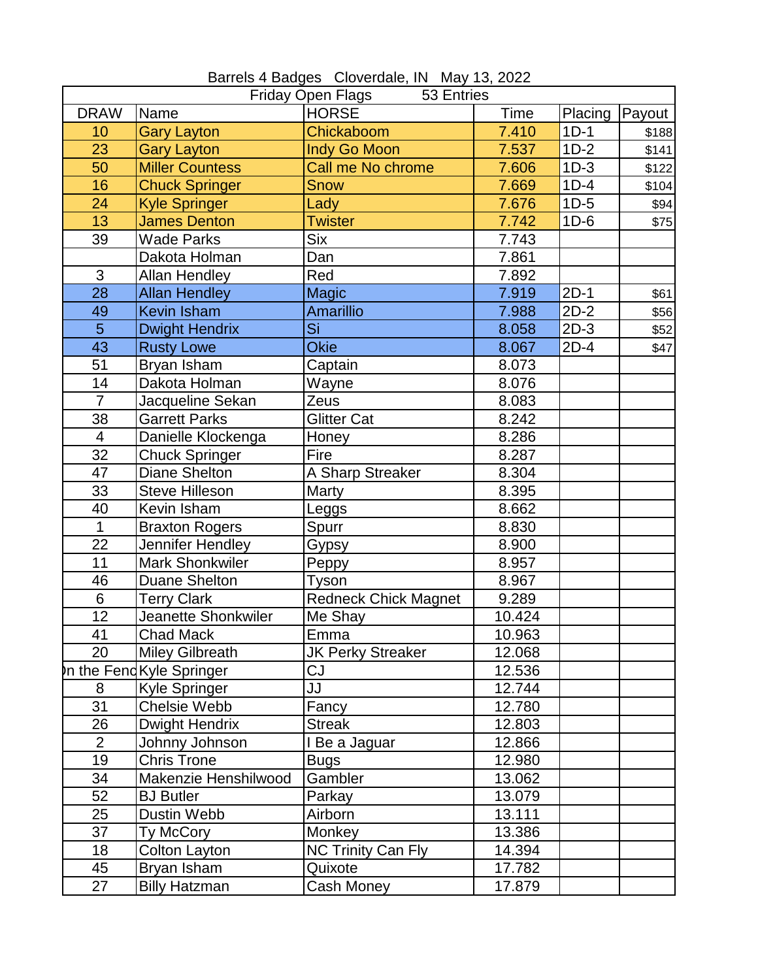| Friday Open Flags<br>53 Entries |                            |                             |        |         |        |
|---------------------------------|----------------------------|-----------------------------|--------|---------|--------|
| <b>DRAW</b>                     | Name                       | <b>HORSE</b>                | Time   | Placing | Payout |
| 10                              | <b>Gary Layton</b>         | Chickaboom                  | 7.410  | $1D-1$  | \$188  |
| 23                              | <b>Gary Layton</b>         | <b>Indy Go Moon</b>         | 7.537  | $1D-2$  | \$141  |
| 50                              | <b>Miller Countess</b>     | Call me No chrome           | 7.606  | $1D-3$  | \$122  |
| 16                              | <b>Chuck Springer</b>      | <b>Snow</b>                 | 7.669  | $1D-4$  | \$104  |
| 24                              | <b>Kyle Springer</b>       | Lady                        | 7.676  | $1D-5$  | \$94   |
| 13                              | <b>James Denton</b>        | <b>Twister</b>              | 7.742  | $1D-6$  | \$75   |
| 39                              | <b>Wade Parks</b>          | <b>Six</b>                  | 7.743  |         |        |
|                                 | Dakota Holman              | Dan                         | 7.861  |         |        |
| 3                               | <b>Allan Hendley</b>       | Red                         | 7.892  |         |        |
| 28                              | <b>Allan Hendley</b>       | <b>Magic</b>                | 7.919  | $2D-1$  | \$61   |
| 49                              | <b>Kevin Isham</b>         | Amarillio                   | 7.988  | $2D-2$  | \$56   |
| 5                               | <b>Dwight Hendrix</b>      | Si                          | 8.058  | $2D-3$  | \$52   |
| 43                              | <b>Rusty Lowe</b>          | <b>Okie</b>                 | 8.067  | $2D-4$  | \$47   |
| 51                              | Bryan Isham                | Captain                     | 8.073  |         |        |
| 14                              | Dakota Holman              | Wayne                       | 8.076  |         |        |
| $\overline{7}$                  | Jacqueline Sekan           | Zeus                        | 8.083  |         |        |
| 38                              | Garrett Parks              | <b>Glitter Cat</b>          | 8.242  |         |        |
| $\overline{\mathbf{4}}$         | Danielle Klockenga         | Honey                       | 8.286  |         |        |
| 32                              | <b>Chuck Springer</b>      | Fire                        | 8.287  |         |        |
| $\overline{47}$                 | <b>Diane Shelton</b>       | A Sharp Streaker            | 8.304  |         |        |
| 33                              | <b>Steve Hilleson</b>      | Marty                       | 8.395  |         |        |
| 40                              | Kevin Isham                | Leggs                       | 8.662  |         |        |
| 1                               | <b>Braxton Rogers</b>      | Spurr                       | 8.830  |         |        |
| 22                              | Jennifer Hendley           | Gypsy                       | 8.900  |         |        |
| 11                              | <b>Mark Shonkwiler</b>     | Peppy                       | 8.957  |         |        |
| 46                              | <b>Duane Shelton</b>       | Tyson                       | 8.967  |         |        |
| $6\phantom{1}$                  | <b>Terry Clark</b>         | <b>Redneck Chick Magnet</b> | 9.289  |         |        |
| 12                              | <b>Jeanette Shonkwiler</b> | Me Shay                     | 10.424 |         |        |
| 41                              | <b>Chad Mack</b>           | Emma                        | 10.963 |         |        |
| 20                              | <b>Miley Gilbreath</b>     | <b>JK Perky Streaker</b>    | 12.068 |         |        |
|                                 | In the FendKyle Springer   | CJ                          | 12.536 |         |        |
| 8                               | <b>Kyle Springer</b>       | JJ                          | 12.744 |         |        |
| 31                              | Chelsie Webb               | Fancy                       | 12.780 |         |        |
| 26                              | Dwight Hendrix             | <b>Streak</b>               | 12.803 |         |        |
| $\overline{2}$                  | Johnny Johnson             | I Be a Jaguar               | 12.866 |         |        |
| 19                              | <b>Chris Trone</b>         | <b>Bugs</b>                 | 12.980 |         |        |
| 34                              | Makenzie Henshilwood       | Gambler                     | 13.062 |         |        |
| 52                              | <b>BJ</b> Butler           | Parkay                      | 13.079 |         |        |
| 25                              | Dustin Webb                | Airborn                     | 13.111 |         |        |
| 37                              | Ty McCory                  | Monkey                      | 13.386 |         |        |
| 18                              | Colton Layton              | <b>NC Trinity Can Fly</b>   | 14.394 |         |        |
| 45                              | Bryan Isham                | Quixote                     | 17.782 |         |        |
| 27                              | <b>Billy Hatzman</b>       | Cash Money                  | 17.879 |         |        |

Barrels 4 Badges Cloverdale, IN May 13, 2022